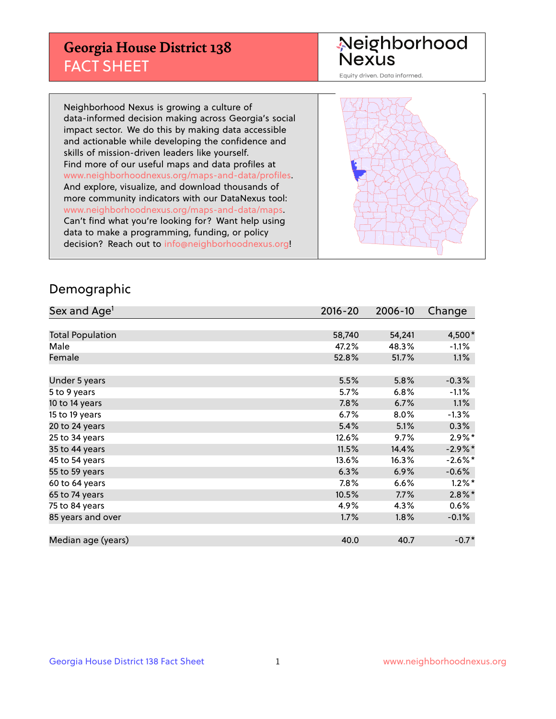## **Georgia House District 138** FACT SHEET

# Neighborhood<br>Nexus

Equity driven. Data informed.

Neighborhood Nexus is growing a culture of data-informed decision making across Georgia's social impact sector. We do this by making data accessible and actionable while developing the confidence and skills of mission-driven leaders like yourself. Find more of our useful maps and data profiles at www.neighborhoodnexus.org/maps-and-data/profiles. And explore, visualize, and download thousands of more community indicators with our DataNexus tool: www.neighborhoodnexus.org/maps-and-data/maps. Can't find what you're looking for? Want help using data to make a programming, funding, or policy decision? Reach out to [info@neighborhoodnexus.org!](mailto:info@neighborhoodnexus.org)



### Demographic

| Sex and Age <sup>1</sup> | $2016 - 20$ | 2006-10 | Change     |
|--------------------------|-------------|---------|------------|
|                          |             |         |            |
| <b>Total Population</b>  | 58,740      | 54,241  | 4,500*     |
| Male                     | 47.2%       | 48.3%   | $-1.1\%$   |
| Female                   | 52.8%       | 51.7%   | $1.1\%$    |
|                          |             |         |            |
| Under 5 years            | 5.5%        | 5.8%    | $-0.3%$    |
| 5 to 9 years             | 5.7%        | 6.8%    | $-1.1%$    |
| 10 to 14 years           | 7.8%        | 6.7%    | 1.1%       |
| 15 to 19 years           | 6.7%        | 8.0%    | $-1.3%$    |
| 20 to 24 years           | 5.4%        | 5.1%    | 0.3%       |
| 25 to 34 years           | 12.6%       | $9.7\%$ | $2.9\%*$   |
| 35 to 44 years           | 11.5%       | 14.4%   | $-2.9\%$ * |
| 45 to 54 years           | 13.6%       | 16.3%   | $-2.6\%$ * |
| 55 to 59 years           | 6.3%        | 6.9%    | $-0.6%$    |
| 60 to 64 years           | $7.8\%$     | 6.6%    | $1.2\%$ *  |
| 65 to 74 years           | 10.5%       | 7.7%    | $2.8\%$ *  |
| 75 to 84 years           | 4.9%        | 4.3%    | $0.6\%$    |
| 85 years and over        | 1.7%        | 1.8%    | $-0.1\%$   |
|                          |             |         |            |
| Median age (years)       | 40.0        | 40.7    | $-0.7*$    |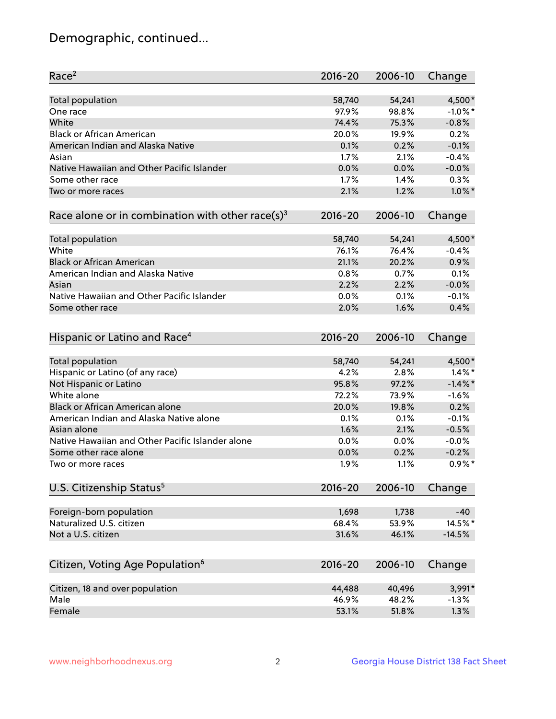## Demographic, continued...

| Race <sup>2</sup>                                            | $2016 - 20$ | 2006-10 | Change     |
|--------------------------------------------------------------|-------------|---------|------------|
| <b>Total population</b>                                      | 58,740      | 54,241  | 4,500*     |
| One race                                                     | 97.9%       | 98.8%   | $-1.0\%$ * |
| White                                                        | 74.4%       | 75.3%   | $-0.8%$    |
| <b>Black or African American</b>                             | 20.0%       | 19.9%   | 0.2%       |
| American Indian and Alaska Native                            | 0.1%        | 0.2%    | $-0.1%$    |
| Asian                                                        | 1.7%        | 2.1%    | $-0.4%$    |
| Native Hawaiian and Other Pacific Islander                   | 0.0%        | 0.0%    | $-0.0%$    |
| Some other race                                              | 1.7%        | 1.4%    | 0.3%       |
| Two or more races                                            | 2.1%        | 1.2%    | $1.0\%$ *  |
| Race alone or in combination with other race(s) <sup>3</sup> | $2016 - 20$ | 2006-10 | Change     |
| Total population                                             | 58,740      | 54,241  | 4,500*     |
| White                                                        | 76.1%       | 76.4%   | $-0.4%$    |
| <b>Black or African American</b>                             | 21.1%       | 20.2%   | 0.9%       |
| American Indian and Alaska Native                            | 0.8%        | 0.7%    | 0.1%       |
| Asian                                                        | 2.2%        | 2.2%    | $-0.0%$    |
| Native Hawaiian and Other Pacific Islander                   | 0.0%        | 0.1%    | $-0.1%$    |
| Some other race                                              | 2.0%        | 1.6%    | 0.4%       |
| Hispanic or Latino and Race <sup>4</sup>                     | $2016 - 20$ | 2006-10 | Change     |
| Total population                                             | 58,740      | 54,241  | 4,500*     |
| Hispanic or Latino (of any race)                             | 4.2%        | 2.8%    | $1.4\%$ *  |
| Not Hispanic or Latino                                       | 95.8%       | 97.2%   | $-1.4\%$ * |
| White alone                                                  | 72.2%       | 73.9%   | $-1.6%$    |
| Black or African American alone                              | 20.0%       | 19.8%   | 0.2%       |
| American Indian and Alaska Native alone                      | 0.1%        | 0.1%    | $-0.1%$    |
| Asian alone                                                  | 1.6%        | 2.1%    | $-0.5%$    |
| Native Hawaiian and Other Pacific Islander alone             | 0.0%        | 0.0%    | $-0.0%$    |
| Some other race alone                                        | 0.0%        | 0.2%    | $-0.2%$    |
| Two or more races                                            | 1.9%        | 1.1%    | $0.9\%$ *  |
| U.S. Citizenship Status <sup>5</sup>                         | $2016 - 20$ | 2006-10 | Change     |
|                                                              |             |         |            |
| Foreign-born population                                      | 1,698       | 1,738   | -40        |
| Naturalized U.S. citizen                                     | 68.4%       | 53.9%   | 14.5%*     |
| Not a U.S. citizen                                           | 31.6%       | 46.1%   | $-14.5%$   |
| Citizen, Voting Age Population <sup>6</sup>                  | 2016-20     | 2006-10 | Change     |
| Citizen, 18 and over population                              | 44,488      | 40,496  | 3,991*     |
| Male                                                         | 46.9%       | 48.2%   | $-1.3%$    |
| Female                                                       | 53.1%       | 51.8%   | 1.3%       |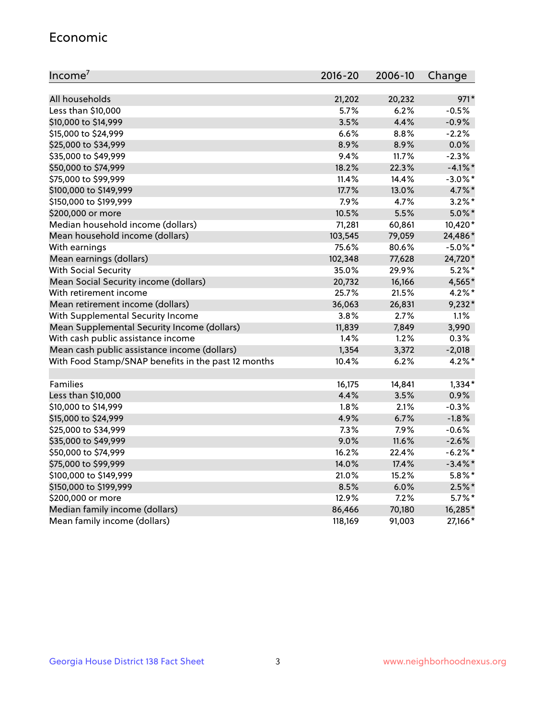#### Economic

| Income <sup>7</sup>                                 | $2016 - 20$ | 2006-10 | Change     |
|-----------------------------------------------------|-------------|---------|------------|
|                                                     |             |         |            |
| All households                                      | 21,202      | 20,232  | 971*       |
| Less than \$10,000                                  | 5.7%        | 6.2%    | $-0.5%$    |
| \$10,000 to \$14,999                                | 3.5%        | 4.4%    | $-0.9%$    |
| \$15,000 to \$24,999                                | 6.6%        | 8.8%    | $-2.2%$    |
| \$25,000 to \$34,999                                | 8.9%        | 8.9%    | 0.0%       |
| \$35,000 to \$49,999                                | 9.4%        | 11.7%   | $-2.3%$    |
| \$50,000 to \$74,999                                | 18.2%       | 22.3%   | $-4.1\%$ * |
| \$75,000 to \$99,999                                | 11.4%       | 14.4%   | $-3.0\%$ * |
| \$100,000 to \$149,999                              | 17.7%       | 13.0%   | 4.7%*      |
| \$150,000 to \$199,999                              | 7.9%        | 4.7%    | $3.2\%$ *  |
| \$200,000 or more                                   | 10.5%       | 5.5%    | $5.0\%$ *  |
| Median household income (dollars)                   | 71,281      | 60,861  | 10,420*    |
| Mean household income (dollars)                     | 103,545     | 79,059  | 24,486*    |
| With earnings                                       | 75.6%       | 80.6%   | $-5.0\%$ * |
| Mean earnings (dollars)                             | 102,348     | 77,628  | 24,720*    |
| <b>With Social Security</b>                         | 35.0%       | 29.9%   | $5.2\%$ *  |
| Mean Social Security income (dollars)               | 20,732      | 16,166  | 4,565*     |
| With retirement income                              | 25.7%       | 21.5%   | $4.2\%$ *  |
| Mean retirement income (dollars)                    | 36,063      | 26,831  | $9,232*$   |
| With Supplemental Security Income                   | 3.8%        | 2.7%    | 1.1%       |
| Mean Supplemental Security Income (dollars)         | 11,839      | 7,849   | 3,990      |
| With cash public assistance income                  | 1.4%        | 1.2%    | 0.3%       |
| Mean cash public assistance income (dollars)        | 1,354       | 3,372   | $-2,018$   |
| With Food Stamp/SNAP benefits in the past 12 months | 10.4%       | 6.2%    | $4.2\%$ *  |
|                                                     |             |         |            |
| Families                                            | 16,175      | 14,841  | $1,334*$   |
| Less than \$10,000                                  | 4.4%        | 3.5%    | 0.9%       |
| \$10,000 to \$14,999                                | 1.8%        | 2.1%    | $-0.3%$    |
| \$15,000 to \$24,999                                | 4.9%        | 6.7%    | $-1.8%$    |
| \$25,000 to \$34,999                                | 7.3%        | 7.9%    | $-0.6%$    |
| \$35,000 to \$49,999                                | 9.0%        | 11.6%   | $-2.6%$    |
| \$50,000 to \$74,999                                | 16.2%       | 22.4%   | $-6.2%$    |
| \$75,000 to \$99,999                                | 14.0%       | 17.4%   | $-3.4\%$ * |
| \$100,000 to \$149,999                              | 21.0%       | 15.2%   | $5.8\%$ *  |
| \$150,000 to \$199,999                              | 8.5%        | 6.0%    | $2.5\%$ *  |
| \$200,000 or more                                   | 12.9%       | 7.2%    | $5.7\%$ *  |
| Median family income (dollars)                      | 86,466      | 70,180  | 16,285*    |
| Mean family income (dollars)                        | 118,169     | 91,003  | 27,166*    |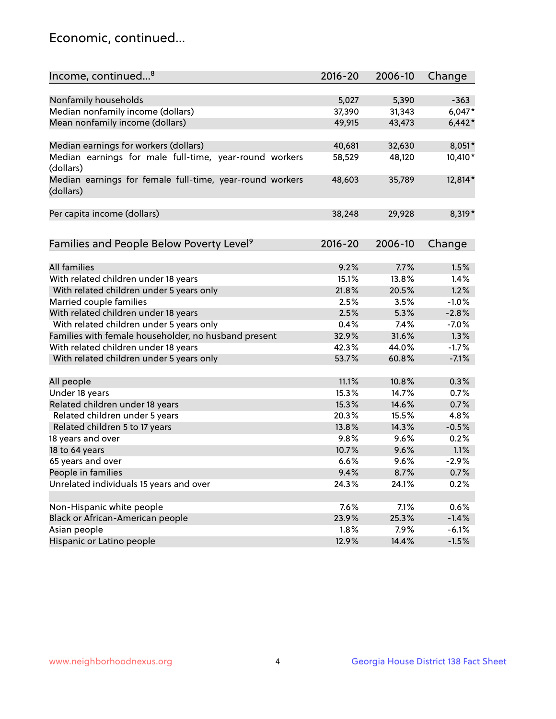## Economic, continued...

| Income, continued <sup>8</sup>                                        | $2016 - 20$ | 2006-10 | Change   |
|-----------------------------------------------------------------------|-------------|---------|----------|
|                                                                       |             |         |          |
| Nonfamily households                                                  | 5,027       | 5,390   | $-363$   |
| Median nonfamily income (dollars)                                     | 37,390      | 31,343  | $6,047*$ |
| Mean nonfamily income (dollars)                                       | 49,915      | 43,473  | $6,442*$ |
| Median earnings for workers (dollars)                                 | 40,681      | 32,630  | 8,051*   |
| Median earnings for male full-time, year-round workers                | 58,529      | 48,120  | 10,410*  |
| (dollars)                                                             |             |         |          |
| Median earnings for female full-time, year-round workers<br>(dollars) | 48,603      | 35,789  | 12,814*  |
| Per capita income (dollars)                                           | 38,248      | 29,928  | 8,319*   |
|                                                                       |             |         |          |
| Families and People Below Poverty Level <sup>9</sup>                  | 2016-20     | 2006-10 | Change   |
|                                                                       |             |         |          |
| <b>All families</b>                                                   | 9.2%        | 7.7%    | 1.5%     |
| With related children under 18 years                                  | 15.1%       | 13.8%   | 1.4%     |
| With related children under 5 years only                              | 21.8%       | 20.5%   | 1.2%     |
| Married couple families                                               | 2.5%        | 3.5%    | $-1.0%$  |
| With related children under 18 years                                  | 2.5%        | 5.3%    | $-2.8%$  |
| With related children under 5 years only                              | 0.4%        | 7.4%    | $-7.0%$  |
| Families with female householder, no husband present                  | 32.9%       | 31.6%   | 1.3%     |
| With related children under 18 years                                  | 42.3%       | 44.0%   | $-1.7%$  |
| With related children under 5 years only                              | 53.7%       | 60.8%   | $-7.1%$  |
| All people                                                            | 11.1%       | 10.8%   | 0.3%     |
| Under 18 years                                                        | 15.3%       | 14.7%   | 0.7%     |
| Related children under 18 years                                       | 15.3%       | 14.6%   | 0.7%     |
| Related children under 5 years                                        | 20.3%       | 15.5%   | 4.8%     |
|                                                                       |             | 14.3%   |          |
| Related children 5 to 17 years                                        | 13.8%       |         | $-0.5%$  |
| 18 years and over                                                     | 9.8%        | 9.6%    | 0.2%     |
| 18 to 64 years                                                        | 10.7%       | 9.6%    | 1.1%     |
| 65 years and over                                                     | 6.6%        | 9.6%    | $-2.9%$  |
| People in families                                                    | 9.4%        | 8.7%    | 0.7%     |
| Unrelated individuals 15 years and over                               | 24.3%       | 24.1%   | 0.2%     |
|                                                                       | 7.6%        |         |          |
| Non-Hispanic white people                                             |             | 7.1%    | 0.6%     |
| Black or African-American people                                      | 23.9%       | 25.3%   | $-1.4%$  |
| Asian people                                                          | 1.8%        | 7.9%    | $-6.1%$  |
| Hispanic or Latino people                                             | 12.9%       | 14.4%   | $-1.5%$  |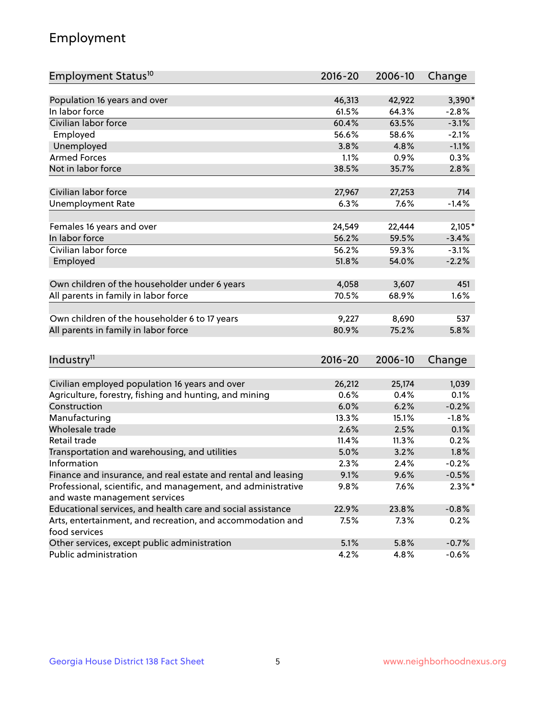## Employment

| Employment Status <sup>10</sup>                                             | $2016 - 20$ | 2006-10 | Change    |
|-----------------------------------------------------------------------------|-------------|---------|-----------|
|                                                                             |             |         |           |
| Population 16 years and over                                                | 46,313      | 42,922  | $3,390*$  |
| In labor force                                                              | 61.5%       | 64.3%   | $-2.8%$   |
| Civilian labor force                                                        | 60.4%       | 63.5%   | $-3.1%$   |
| Employed                                                                    | 56.6%       | 58.6%   | $-2.1%$   |
| Unemployed                                                                  | 3.8%        | 4.8%    | $-1.1%$   |
| <b>Armed Forces</b>                                                         | 1.1%        | 0.9%    | 0.3%      |
| Not in labor force                                                          | 38.5%       | 35.7%   | 2.8%      |
|                                                                             |             |         |           |
| Civilian labor force                                                        | 27,967      | 27,253  | 714       |
| <b>Unemployment Rate</b>                                                    | 6.3%        | 7.6%    | $-1.4%$   |
| Females 16 years and over                                                   | 24,549      | 22,444  | $2,105*$  |
| In labor force                                                              | 56.2%       | 59.5%   | $-3.4%$   |
| Civilian labor force                                                        | 56.2%       | 59.3%   | $-3.1%$   |
| Employed                                                                    | 51.8%       | 54.0%   | $-2.2%$   |
|                                                                             |             |         |           |
| Own children of the householder under 6 years                               | 4,058       | 3,607   | 451       |
| All parents in family in labor force                                        | 70.5%       | 68.9%   | 1.6%      |
|                                                                             |             |         |           |
| Own children of the householder 6 to 17 years                               | 9,227       | 8,690   | 537       |
| All parents in family in labor force                                        | 80.9%       | 75.2%   | 5.8%      |
|                                                                             |             |         |           |
| Industry <sup>11</sup>                                                      | $2016 - 20$ | 2006-10 | Change    |
|                                                                             |             |         |           |
| Civilian employed population 16 years and over                              | 26,212      | 25,174  | 1,039     |
| Agriculture, forestry, fishing and hunting, and mining                      | 0.6%        | 0.4%    | 0.1%      |
| Construction                                                                | 6.0%        | 6.2%    | $-0.2%$   |
| Manufacturing                                                               | 13.3%       | 15.1%   | $-1.8%$   |
| Wholesale trade                                                             | 2.6%        | 2.5%    | 0.1%      |
| Retail trade                                                                | 11.4%       | 11.3%   | 0.2%      |
| Transportation and warehousing, and utilities                               | 5.0%        | 3.2%    | 1.8%      |
| Information                                                                 | 2.3%        | 2.4%    | $-0.2%$   |
| Finance and insurance, and real estate and rental and leasing               | 9.1%        | 9.6%    | $-0.5%$   |
| Professional, scientific, and management, and administrative                | 9.8%        | 7.6%    | $2.3\%$ * |
| and waste management services                                               |             |         |           |
| Educational services, and health care and social assistance                 | 22.9%       | 23.8%   | $-0.8%$   |
| Arts, entertainment, and recreation, and accommodation and<br>food services | 7.5%        | 7.3%    | 0.2%      |
| Other services, except public administration                                | 5.1%        | 5.8%    | $-0.7%$   |
| Public administration                                                       | 4.2%        | 4.8%    | $-0.6%$   |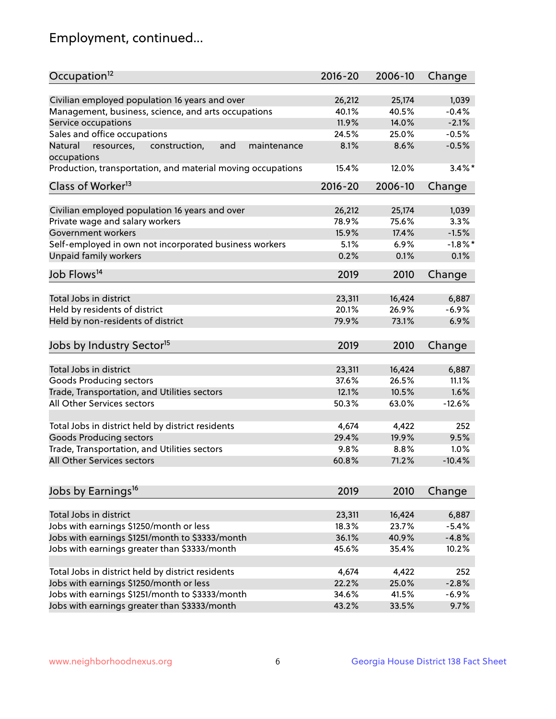## Employment, continued...

| Occupation <sup>12</sup>                                                    | $2016 - 20$    | 2006-10        | Change             |
|-----------------------------------------------------------------------------|----------------|----------------|--------------------|
|                                                                             |                |                |                    |
| Civilian employed population 16 years and over                              | 26,212         | 25,174         | 1,039              |
| Management, business, science, and arts occupations<br>Service occupations  | 40.1%<br>11.9% | 40.5%<br>14.0% | $-0.4%$<br>$-2.1%$ |
|                                                                             |                |                |                    |
| Sales and office occupations                                                | 24.5%          | 25.0%          | $-0.5%$            |
| Natural<br>and<br>resources,<br>construction,<br>maintenance<br>occupations | 8.1%           | 8.6%           | $-0.5%$            |
| Production, transportation, and material moving occupations                 | 15.4%          | 12.0%          | $3.4\%$ *          |
| Class of Worker <sup>13</sup>                                               | $2016 - 20$    | 2006-10        | Change             |
|                                                                             |                |                |                    |
| Civilian employed population 16 years and over                              | 26,212         | 25,174         | 1,039              |
| Private wage and salary workers                                             | 78.9%          | 75.6%          | 3.3%               |
| Government workers                                                          | 15.9%          | 17.4%          | $-1.5%$            |
| Self-employed in own not incorporated business workers                      | 5.1%           | 6.9%           | $-1.8%$ *          |
| Unpaid family workers                                                       | 0.2%           | 0.1%           | 0.1%               |
| Job Flows <sup>14</sup>                                                     | 2019           | 2010           | Change             |
|                                                                             |                |                |                    |
| Total Jobs in district                                                      | 23,311         | 16,424         | 6,887              |
| Held by residents of district                                               | 20.1%          | 26.9%          | $-6.9%$            |
| Held by non-residents of district                                           | 79.9%          | 73.1%          | 6.9%               |
|                                                                             |                |                |                    |
| Jobs by Industry Sector <sup>15</sup>                                       | 2019           | 2010           | Change             |
| Total Jobs in district                                                      | 23,311         | 16,424         | 6,887              |
| Goods Producing sectors                                                     | 37.6%          | 26.5%          | 11.1%              |
| Trade, Transportation, and Utilities sectors                                | 12.1%          | 10.5%          | 1.6%               |
| All Other Services sectors                                                  | 50.3%          | 63.0%          | $-12.6%$           |
|                                                                             |                |                |                    |
| Total Jobs in district held by district residents                           | 4,674          | 4,422          | 252                |
| <b>Goods Producing sectors</b>                                              | 29.4%          | 19.9%          | 9.5%               |
| Trade, Transportation, and Utilities sectors                                | 9.8%           | 8.8%           | 1.0%               |
| All Other Services sectors                                                  | 60.8%          | 71.2%          | $-10.4%$           |
|                                                                             |                |                |                    |
| Jobs by Earnings <sup>16</sup>                                              | 2019           | 2010           | Change             |
|                                                                             |                |                |                    |
| Total Jobs in district                                                      | 23,311         | 16,424         | 6,887              |
| Jobs with earnings \$1250/month or less                                     | 18.3%          | 23.7%          | $-5.4%$            |
| Jobs with earnings \$1251/month to \$3333/month                             | 36.1%          | 40.9%          | $-4.8%$            |
| Jobs with earnings greater than \$3333/month                                | 45.6%          | 35.4%          | 10.2%              |
|                                                                             |                |                |                    |
| Total Jobs in district held by district residents                           | 4,674          | 4,422          | 252                |
| Jobs with earnings \$1250/month or less                                     | 22.2%          | 25.0%          | $-2.8%$            |
| Jobs with earnings \$1251/month to \$3333/month                             | 34.6%          | 41.5%          | $-6.9%$            |
| Jobs with earnings greater than \$3333/month                                | 43.2%          | 33.5%          | 9.7%               |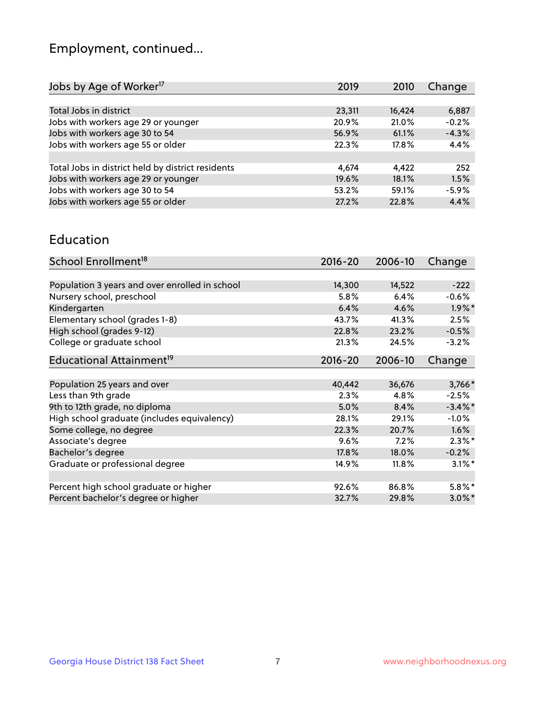## Employment, continued...

| 2019   | 2010   | Change  |
|--------|--------|---------|
|        |        |         |
| 23,311 | 16,424 | 6,887   |
| 20.9%  | 21.0%  | $-0.2%$ |
| 56.9%  | 61.1%  | $-4.3%$ |
| 22.3%  | 17.8%  | 4.4%    |
|        |        |         |
| 4,674  | 4.422  | 252     |
| 19.6%  | 18.1%  | 1.5%    |
| 53.2%  | 59.1%  | $-5.9%$ |
| 27.2%  | 22.8%  | 4.4%    |
|        |        |         |

#### Education

| School Enrollment <sup>18</sup>                | $2016 - 20$ | 2006-10 | Change               |
|------------------------------------------------|-------------|---------|----------------------|
|                                                |             |         |                      |
| Population 3 years and over enrolled in school | 14,300      | 14,522  | $-222$               |
| Nursery school, preschool                      | 5.8%        | 6.4%    | $-0.6%$              |
| Kindergarten                                   | 6.4%        | 4.6%    | $1.9\%$ *            |
| Elementary school (grades 1-8)                 | 43.7%       | 41.3%   | 2.5%                 |
| High school (grades 9-12)                      | 22.8%       | 23.2%   | $-0.5%$              |
| College or graduate school                     | 21.3%       | 24.5%   | $-3.2%$              |
| Educational Attainment <sup>19</sup>           | $2016 - 20$ | 2006-10 | Change               |
|                                                |             |         |                      |
| Population 25 years and over                   | 40,442      | 36,676  | 3,766*               |
| Less than 9th grade                            | 2.3%        | 4.8%    | $-2.5%$              |
| 9th to 12th grade, no diploma                  | 5.0%        | 8.4%    | $-3.4\%$ *           |
| High school graduate (includes equivalency)    | 28.1%       | 29.1%   | $-1.0%$              |
| Some college, no degree                        | 22.3%       | 20.7%   | 1.6%                 |
| Associate's degree                             | 9.6%        | 7.2%    | $2.3\%$ *            |
| Bachelor's degree                              | 17.8%       | 18.0%   | $-0.2%$              |
| Graduate or professional degree                | 14.9%       | 11.8%   | $3.1\%$ <sup>*</sup> |
|                                                |             |         |                      |
| Percent high school graduate or higher         | 92.6%       | 86.8%   | $5.8\%$ *            |
| Percent bachelor's degree or higher            | 32.7%       | 29.8%   | $3.0\%$ *            |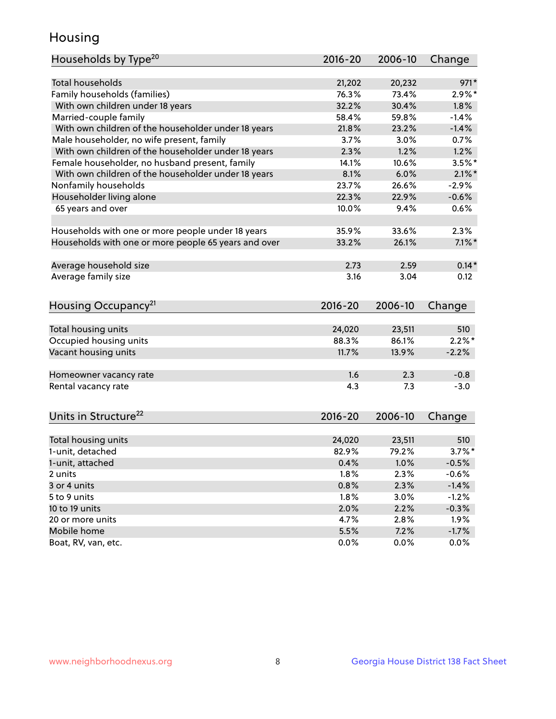## Housing

| Households by Type <sup>20</sup>                     | 2016-20     | 2006-10 | Change    |
|------------------------------------------------------|-------------|---------|-----------|
|                                                      |             |         |           |
| <b>Total households</b>                              | 21,202      | 20,232  | $971*$    |
| Family households (families)                         | 76.3%       | 73.4%   | $2.9\%$ * |
| With own children under 18 years                     | 32.2%       | 30.4%   | 1.8%      |
| Married-couple family                                | 58.4%       | 59.8%   | $-1.4%$   |
| With own children of the householder under 18 years  | 21.8%       | 23.2%   | $-1.4%$   |
| Male householder, no wife present, family            | 3.7%        | 3.0%    | 0.7%      |
| With own children of the householder under 18 years  | 2.3%        | 1.2%    | 1.2%      |
| Female householder, no husband present, family       | 14.1%       | 10.6%   | $3.5%$ *  |
| With own children of the householder under 18 years  | 8.1%        | 6.0%    | $2.1\%$ * |
| Nonfamily households                                 | 23.7%       | 26.6%   | $-2.9%$   |
| Householder living alone                             | 22.3%       | 22.9%   | $-0.6%$   |
| 65 years and over                                    | 10.0%       | 9.4%    | 0.6%      |
|                                                      |             |         |           |
| Households with one or more people under 18 years    | 35.9%       | 33.6%   | 2.3%      |
| Households with one or more people 65 years and over | 33.2%       | 26.1%   | $7.1\%$ * |
|                                                      |             |         |           |
| Average household size                               | 2.73        | 2.59    | $0.14*$   |
| Average family size                                  | 3.16        | 3.04    | 0.12      |
|                                                      |             |         |           |
| Housing Occupancy <sup>21</sup>                      | $2016 - 20$ | 2006-10 | Change    |
|                                                      |             |         |           |
| Total housing units                                  | 24,020      | 23,511  | 510       |
| Occupied housing units                               | 88.3%       | 86.1%   | $2.2\%$ * |
| Vacant housing units                                 | 11.7%       | 13.9%   | $-2.2%$   |
|                                                      |             |         |           |
| Homeowner vacancy rate                               | 1.6         | 2.3     | $-0.8$    |
| Rental vacancy rate                                  | 4.3         | 7.3     | $-3.0$    |
|                                                      |             |         |           |
|                                                      |             |         |           |
| Units in Structure <sup>22</sup>                     | 2016-20     | 2006-10 | Change    |
| Total housing units                                  | 24,020      | 23,511  | 510       |
| 1-unit, detached                                     | 82.9%       | 79.2%   | $3.7\%$ * |
|                                                      |             |         |           |
| 1-unit, attached                                     | 0.4%        | 1.0%    | $-0.5%$   |
| 2 units                                              | 1.8%        | 2.3%    | $-0.6%$   |
| 3 or 4 units                                         | 0.8%        | 2.3%    | $-1.4%$   |
| 5 to 9 units                                         | 1.8%        | 3.0%    | $-1.2%$   |
| 10 to 19 units                                       | 2.0%        | 2.2%    | $-0.3%$   |
| 20 or more units                                     | 4.7%        | 2.8%    | 1.9%      |
| Mobile home                                          | 5.5%        | 7.2%    | $-1.7\%$  |
| Boat, RV, van, etc.                                  | 0.0%        | $0.0\%$ | $0.0\%$   |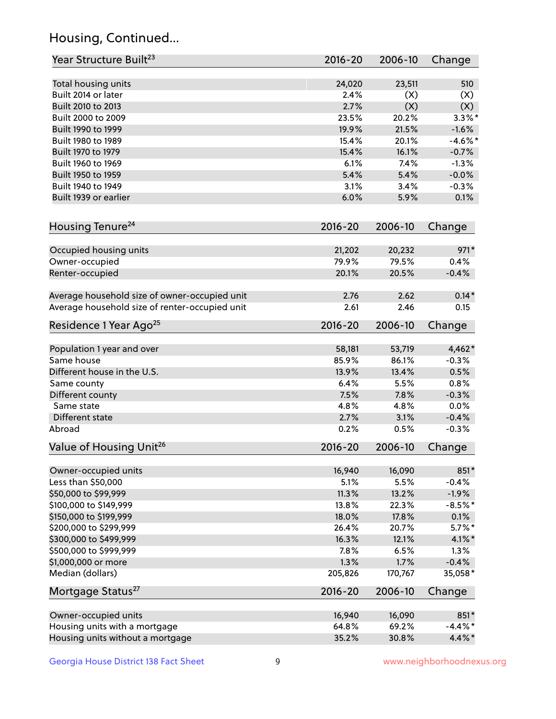## Housing, Continued...

| Year Structure Built <sup>23</sup>             | 2016-20     | 2006-10 | Change     |
|------------------------------------------------|-------------|---------|------------|
| Total housing units                            | 24,020      | 23,511  | 510        |
| Built 2014 or later                            | 2.4%        | (X)     | (X)        |
| Built 2010 to 2013                             | 2.7%        | (X)     | (X)        |
| Built 2000 to 2009                             | 23.5%       | 20.2%   | $3.3\%$ *  |
| Built 1990 to 1999                             | 19.9%       | 21.5%   | $-1.6%$    |
| Built 1980 to 1989                             | 15.4%       | 20.1%   | $-4.6\%$ * |
| Built 1970 to 1979                             | 15.4%       | 16.1%   | $-0.7%$    |
| Built 1960 to 1969                             | 6.1%        | 7.4%    | $-1.3%$    |
| Built 1950 to 1959                             | 5.4%        | 5.4%    | $-0.0%$    |
| Built 1940 to 1949                             | 3.1%        | 3.4%    | $-0.3%$    |
| Built 1939 or earlier                          | 6.0%        | 5.9%    | 0.1%       |
| Housing Tenure <sup>24</sup>                   | $2016 - 20$ | 2006-10 | Change     |
|                                                |             |         |            |
| Occupied housing units                         | 21,202      | 20,232  | $971*$     |
| Owner-occupied                                 | 79.9%       | 79.5%   | 0.4%       |
| Renter-occupied                                | 20.1%       | 20.5%   | $-0.4%$    |
| Average household size of owner-occupied unit  | 2.76        | 2.62    | $0.14*$    |
| Average household size of renter-occupied unit | 2.61        | 2.46    | 0.15       |
| Residence 1 Year Ago <sup>25</sup>             | $2016 - 20$ | 2006-10 | Change     |
|                                                | 58,181      | 53,719  | 4,462*     |
| Population 1 year and over<br>Same house       | 85.9%       | 86.1%   | $-0.3%$    |
| Different house in the U.S.                    | 13.9%       | 13.4%   | 0.5%       |
| Same county                                    | 6.4%        | 5.5%    | 0.8%       |
| Different county                               | 7.5%        | 7.8%    | $-0.3%$    |
| Same state                                     | 4.8%        | 4.8%    | 0.0%       |
| Different state                                | 2.7%        | 3.1%    | $-0.4%$    |
| Abroad                                         | 0.2%        | 0.5%    | $-0.3%$    |
| Value of Housing Unit <sup>26</sup>            | $2016 - 20$ | 2006-10 | Change     |
|                                                |             |         |            |
| Owner-occupied units                           | 16,940      | 16,090  | 851*       |
| Less than \$50,000                             | 5.1%        | 5.5%    | $-0.4%$    |
| \$50,000 to \$99,999                           | 11.3%       | 13.2%   | $-1.9%$    |
| \$100,000 to \$149,999                         | 13.8%       | 22.3%   | $-8.5%$ *  |
| \$150,000 to \$199,999                         | 18.0%       | 17.8%   | 0.1%       |
| \$200,000 to \$299,999                         | 26.4%       | 20.7%   | $5.7\%$ *  |
| \$300,000 to \$499,999                         | 16.3%       | 12.1%   | $4.1\%$ *  |
| \$500,000 to \$999,999                         | 7.8%        | 6.5%    | 1.3%       |
| \$1,000,000 or more                            | 1.3%        | 1.7%    | $-0.4%$    |
| Median (dollars)                               | 205,826     | 170,767 | 35,058*    |
| Mortgage Status <sup>27</sup>                  | $2016 - 20$ | 2006-10 | Change     |
| Owner-occupied units                           | 16,940      | 16,090  | 851*       |
| Housing units with a mortgage                  | 64.8%       | 69.2%   | $-4.4\%$ * |
| Housing units without a mortgage               | 35.2%       | 30.8%   | 4.4%*      |
|                                                |             |         |            |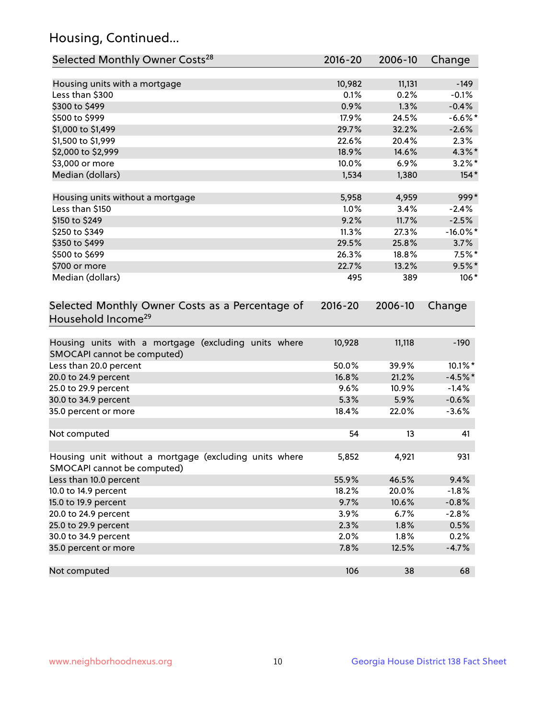## Housing, Continued...

| Selected Monthly Owner Costs <sup>28</sup>                                            | 2016-20 | 2006-10 | Change      |
|---------------------------------------------------------------------------------------|---------|---------|-------------|
| Housing units with a mortgage                                                         | 10,982  | 11,131  | $-149$      |
| Less than \$300                                                                       | 0.1%    | 0.2%    | $-0.1%$     |
| \$300 to \$499                                                                        | 0.9%    | 1.3%    | $-0.4%$     |
| \$500 to \$999                                                                        | 17.9%   | 24.5%   | $-6.6%$ *   |
| \$1,000 to \$1,499                                                                    | 29.7%   | 32.2%   | $-2.6%$     |
| \$1,500 to \$1,999                                                                    | 22.6%   | 20.4%   | 2.3%        |
| \$2,000 to \$2,999                                                                    | 18.9%   | 14.6%   | 4.3%*       |
| \$3,000 or more                                                                       | 10.0%   | $6.9\%$ | $3.2\%$ *   |
| Median (dollars)                                                                      | 1,534   | 1,380   | $154*$      |
|                                                                                       |         |         |             |
| Housing units without a mortgage                                                      | 5,958   | 4,959   | 999*        |
| Less than \$150                                                                       | 1.0%    | 3.4%    | $-2.4%$     |
| \$150 to \$249                                                                        | 9.2%    | 11.7%   | $-2.5%$     |
| \$250 to \$349                                                                        | 11.3%   | 27.3%   | $-16.0\%$ * |
| \$350 to \$499                                                                        | 29.5%   | 25.8%   | 3.7%        |
| \$500 to \$699                                                                        | 26.3%   | 18.8%   | $7.5\%$ *   |
| \$700 or more                                                                         | 22.7%   | 13.2%   | $9.5\%$ *   |
| Median (dollars)                                                                      | 495     | 389     | $106*$      |
| Selected Monthly Owner Costs as a Percentage of<br>Household Income <sup>29</sup>     |         |         | Change      |
| Housing units with a mortgage (excluding units where<br>SMOCAPI cannot be computed)   | 10,928  | 11,118  | $-190$      |
| Less than 20.0 percent                                                                | 50.0%   | 39.9%   | 10.1%*      |
| 20.0 to 24.9 percent                                                                  | 16.8%   | 21.2%   | $-4.5%$ *   |
| 25.0 to 29.9 percent                                                                  | 9.6%    | 10.9%   | $-1.4%$     |
| 30.0 to 34.9 percent                                                                  | 5.3%    | 5.9%    | $-0.6%$     |
| 35.0 percent or more                                                                  | 18.4%   | 22.0%   | $-3.6%$     |
| Not computed                                                                          | 54      | 13      | 41          |
| Housing unit without a mortgage (excluding units where<br>SMOCAPI cannot be computed) | 5,852   | 4,921   | 931         |
| Less than 10.0 percent                                                                | 55.9%   | 46.5%   | 9.4%        |
| 10.0 to 14.9 percent                                                                  | 18.2%   | 20.0%   | $-1.8%$     |
| 15.0 to 19.9 percent                                                                  | 9.7%    | 10.6%   | $-0.8%$     |
| 20.0 to 24.9 percent                                                                  | 3.9%    | 6.7%    | $-2.8%$     |
| 25.0 to 29.9 percent                                                                  | 2.3%    | 1.8%    | 0.5%        |
| 30.0 to 34.9 percent                                                                  | 2.0%    | 1.8%    | 0.2%        |
| 35.0 percent or more                                                                  | 7.8%    | 12.5%   | $-4.7%$     |
| Not computed                                                                          | 106     | 38      | 68          |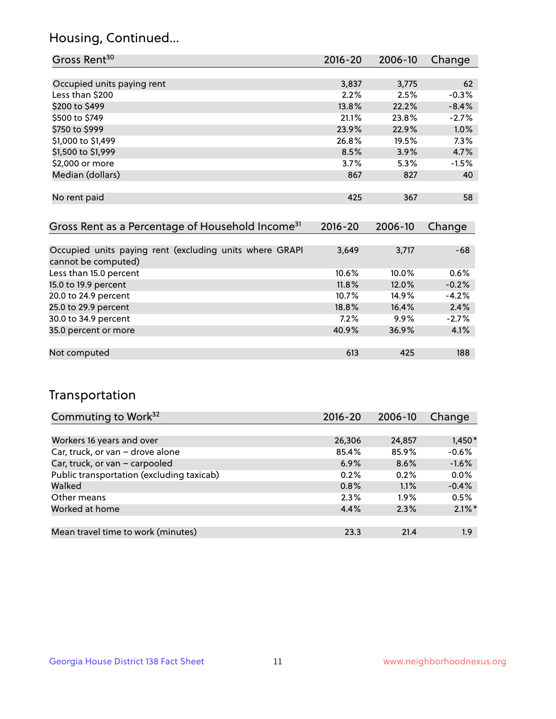## Housing, Continued...

| Gross Rent <sup>30</sup>   | $2016 - 20$ | 2006-10 | Change  |
|----------------------------|-------------|---------|---------|
|                            |             |         |         |
| Occupied units paying rent | 3,837       | 3,775   | 62      |
| Less than \$200            | 2.2%        | 2.5%    | $-0.3%$ |
| \$200 to \$499             | 13.8%       | 22.2%   | $-8.4%$ |
| \$500 to \$749             | 21.1%       | 23.8%   | $-2.7%$ |
| \$750 to \$999             | 23.9%       | 22.9%   | 1.0%    |
| \$1,000 to \$1,499         | 26.8%       | 19.5%   | 7.3%    |
| \$1,500 to \$1,999         | 8.5%        | 3.9%    | 4.7%    |
| \$2,000 or more            | 3.7%        | 5.3%    | $-1.5%$ |
| Median (dollars)           | 867         | 827     | 40      |
|                            |             |         |         |
| No rent paid               | 425         | 367     | 58      |
|                            |             |         |         |

| Gross Rent as a Percentage of Household Income <sup>31</sup>                   | $2016 - 20$ | 2006-10 | Change  |
|--------------------------------------------------------------------------------|-------------|---------|---------|
|                                                                                |             |         |         |
| Occupied units paying rent (excluding units where GRAPI<br>cannot be computed) | 3,649       | 3,717   | -68     |
| Less than 15.0 percent                                                         | 10.6%       | 10.0%   | 0.6%    |
| 15.0 to 19.9 percent                                                           | 11.8%       | 12.0%   | $-0.2%$ |
| 20.0 to 24.9 percent                                                           | 10.7%       | 14.9%   | $-4.2%$ |
| 25.0 to 29.9 percent                                                           | 18.8%       | 16.4%   | 2.4%    |
| 30.0 to 34.9 percent                                                           | 7.2%        | $9.9\%$ | $-2.7%$ |
| 35.0 percent or more                                                           | 40.9%       | 36.9%   | 4.1%    |
|                                                                                |             |         |         |
| Not computed                                                                   | 613         | 425     | 188     |

## Transportation

| Commuting to Work <sup>32</sup>           | 2016-20 | 2006-10 | Change    |
|-------------------------------------------|---------|---------|-----------|
|                                           |         |         |           |
| Workers 16 years and over                 | 26,306  | 24,857  | $1,450*$  |
| Car, truck, or van - drove alone          | 85.4%   | 85.9%   | $-0.6%$   |
| Car, truck, or van - carpooled            | 6.9%    | 8.6%    | $-1.6%$   |
| Public transportation (excluding taxicab) | 0.2%    | 0.2%    | 0.0%      |
| Walked                                    | 0.8%    | 1.1%    | $-0.4%$   |
| Other means                               | 2.3%    | $1.9\%$ | 0.5%      |
| Worked at home                            | 4.4%    | 2.3%    | $2.1\%$ * |
|                                           |         |         |           |
| Mean travel time to work (minutes)        | 23.3    | 21.4    | 1.9       |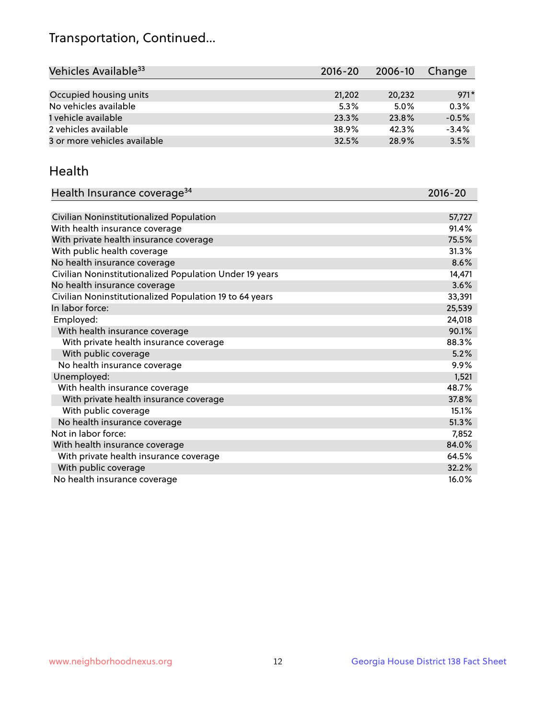## Transportation, Continued...

| Vehicles Available <sup>33</sup> | $2016 - 20$ | 2006-10 | Change  |
|----------------------------------|-------------|---------|---------|
|                                  |             |         |         |
| Occupied housing units           | 21,202      | 20,232  | $971*$  |
| No vehicles available            | 5.3%        | $5.0\%$ | 0.3%    |
| 1 vehicle available              | 23.3%       | 23.8%   | $-0.5%$ |
| 2 vehicles available             | 38.9%       | 42.3%   | $-3.4%$ |
| 3 or more vehicles available     | 32.5%       | 28.9%   | 3.5%    |

#### Health

| Health Insurance coverage <sup>34</sup>                 | 2016-20 |
|---------------------------------------------------------|---------|
|                                                         |         |
| Civilian Noninstitutionalized Population                | 57,727  |
| With health insurance coverage                          | 91.4%   |
| With private health insurance coverage                  | 75.5%   |
| With public health coverage                             | 31.3%   |
| No health insurance coverage                            | 8.6%    |
| Civilian Noninstitutionalized Population Under 19 years | 14,471  |
| No health insurance coverage                            | 3.6%    |
| Civilian Noninstitutionalized Population 19 to 64 years | 33,391  |
| In labor force:                                         | 25,539  |
| Employed:                                               | 24,018  |
| With health insurance coverage                          | 90.1%   |
| With private health insurance coverage                  | 88.3%   |
| With public coverage                                    | 5.2%    |
| No health insurance coverage                            | 9.9%    |
| Unemployed:                                             | 1,521   |
| With health insurance coverage                          | 48.7%   |
| With private health insurance coverage                  | 37.8%   |
| With public coverage                                    | 15.1%   |
| No health insurance coverage                            | 51.3%   |
| Not in labor force:                                     | 7,852   |
| With health insurance coverage                          | 84.0%   |
| With private health insurance coverage                  | 64.5%   |
| With public coverage                                    | 32.2%   |
| No health insurance coverage                            | 16.0%   |